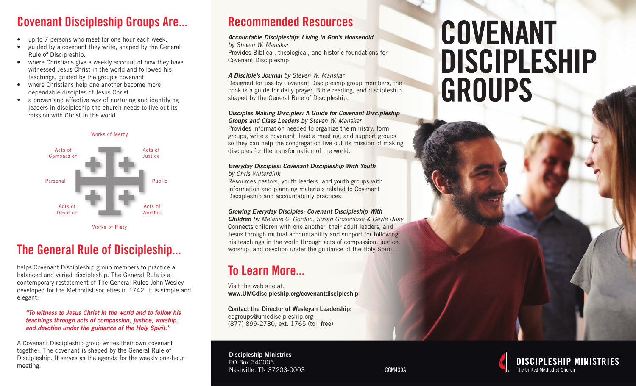## Covenant Discipleship Groups Are...

- up to 7 persons who meet for one hour each week.
- guided by a covenant they write, shaped by the General Rule of Discipleship.
- where Christians give a weekly account of how they have witnessed Jesus Christ in the world and followed his teachings, guided by the group's covenant.
- where Christians help one another become more dependable disciples of Jesus Christ.
- a proven and effective way of nurturing and identifying leaders in discipleship the church needs to live out its mission with Christ in the world.



## The General Rule of Discipleship...

helps Covenant Discipleship group members to practice a balanced and varied discipleship. The General Rule is a contemporary restatement of The General Rules John Wesley developed for the Methodist societies in 1742. It is simple and elegant:

*"To witness to Jesus Christ in the world and to follow his teachings through acts of compassion, justice, worship, and devotion under the guidance of the Holy Spirit."*

A Covenant Discipleship group writes their own covenant together. The covenant is shaped by the General Rule of Discipleship. It serves as the agenda for the weekly one-hour meeting.

## Recommended Resources

#### *Accountable Discipleship: Living in God's Household*

*by Steven W. Manskar*

Provides Biblical, theological, and historic foundations for Covenant Discipleship.

#### *A Disciple's Journal by Steven W. Manskar*

Designed for use by Covenant Discipleship group members, the book is a guide for daily prayer, Bible reading, and discipleship shaped by the General Rule of Discipleship.

#### *Disciples Making Disciples: A Guide for Covenant Discipleship*

*Groups and Class Leaders by Steven W. Manskar* Provides information needed to organize the ministry, form groups, write a covenant, lead a meeting, and support groups so they can help the congregation live out its mission of making disciples for the transformation of the world.

#### *Everyday Disciples: Covenant Discipleship With Youth by Chris Wilterdink*

Resources pastors, youth leaders, and youth groups with information and planning materials related to Covenant Discipleship and accountability practices.

#### *Growing Everyday Disciples: Covenant Discipleship With*

*Children by Melanie C. Gordon, Susan Groseclose & Gayle Quay* Connects children with one another, their adult leaders, and Jesus through mutual accountability and support for following his teachings in the world through acts of compassion, justice, worship, and devotion under the guidance of the Holy Spirit.

## To Learn More...

Visit the web site at: www.UMCdiscipleship.org/covenantdiscipleship

Contact the Director of Wesleyan Leadership: cdgroups@umcdiscipleship.org (877) 899-2780, ext. 1765 (toll free)

Discipleship Ministries PO Box 340003 Nashville, TN 37203-0003 COM430A

# **COVENANT DISCIPLESHIP** GROUPS